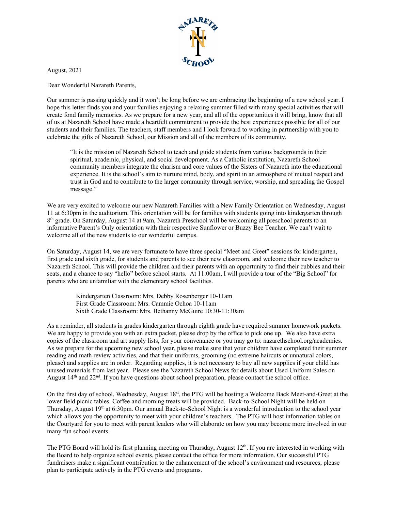

August, 2021

Dear Wonderful Nazareth Parents,

Our summer is passing quickly and it won't be long before we are embracing the beginning of a new school year. I hope this letter finds you and your families enjoying a relaxing summer filled with many special activities that will create fond family memories. As we prepare for a new year, and all of the opportunities it will bring, know that all of us at Nazareth School have made a heartfelt commitment to provide the best experiences possible for all of our students and their families. The teachers, staff members and I look forward to working in partnership with you to celebrate the gifts of Nazareth School, our Mission and all of the members of its community.

"It is the mission of Nazareth School to teach and guide students from various backgrounds in their spiritual, academic, physical, and social development. As a Catholic institution, Nazareth School community members integrate the charism and core values of the Sisters of Nazareth into the educational experience. It is the school's aim to nurture mind, body, and spirit in an atmosphere of mutual respect and trust in God and to contribute to the larger community through service, worship, and spreading the Gospel message."

We are very excited to welcome our new Nazareth Families with a New Family Orientation on Wednesday, August 11 at 6:30pm in the auditorium. This orientation will be for families with students going into kindergarten through 8<sup>th</sup> grade. On Saturday, August 14 at 9am, Nazareth Preschool will be welcoming all preschool parents to an informative Parent's Only orientation with their respective Sunflower or Buzzy Bee Teacher. We can't wait to welcome all of the new students to our wonderful campus.

On Saturday, August 14, we are very fortunate to have three special "Meet and Greet" sessions for kindergarten, first grade and sixth grade, for students and parents to see their new classroom, and welcome their new teacher to Nazareth School. This will provide the children and their parents with an opportunity to find their cubbies and their seats, and a chance to say "hello" before school starts. At 11:00am, I will provide a tour of the "Big School" for parents who are unfamiliar with the elementary school facilities.

Kindergarten Classroom: Mrs. Debby Rosenberger 10-11am First Grade Classroom: Mrs. Cammie Ochoa 10-11am Sixth Grade Classroom: Mrs. Bethanny McGuire 10:30-11:30am

As a reminder, all students in grades kindergarten through eighth grade have required summer homework packets. We are happy to provide you with an extra packet, please drop by the office to pick one up. We also have extra copies of the classroom and art supply lists, for your convenance or you may go to: nazarethschool.org/academics. As we prepare for the upcoming new school year, please make sure that your children have completed their summer reading and math review activities, and that their uniforms, grooming (no extreme haircuts or unnatural colors, please) and supplies are in order. Regarding supplies, it is not necessary to buy all new supplies if your child has unused materials from last year. Please see the Nazareth School News for details about Used Uniform Sales on August  $14<sup>th</sup>$  and  $22<sup>nd</sup>$ . If you have questions about school preparation, please contact the school office.

On the first day of school, Wednesday, August 18<sup>st</sup>, the PTG will be hosting a Welcome Back Meet-and-Greet at the lower field picnic tables. Coffee and morning treats will be provided. Back-to-School Night will be held on Thursday, August 19th at 6:30pm. Our annual Back-to-School Night is a wonderful introduction to the school year which allows you the opportunity to meet with your children's teachers. The PTG will host information tables on the Courtyard for you to meet with parent leaders who will elaborate on how you may become more involved in our many fun school events.

The PTG Board will hold its first planning meeting on Thursday, August  $12<sup>th</sup>$ . If you are interested in working with the Board to help organize school events, please contact the office for more information. Our successful PTG fundraisers make a significant contribution to the enhancement of the school's environment and resources, please plan to participate actively in the PTG events and programs.